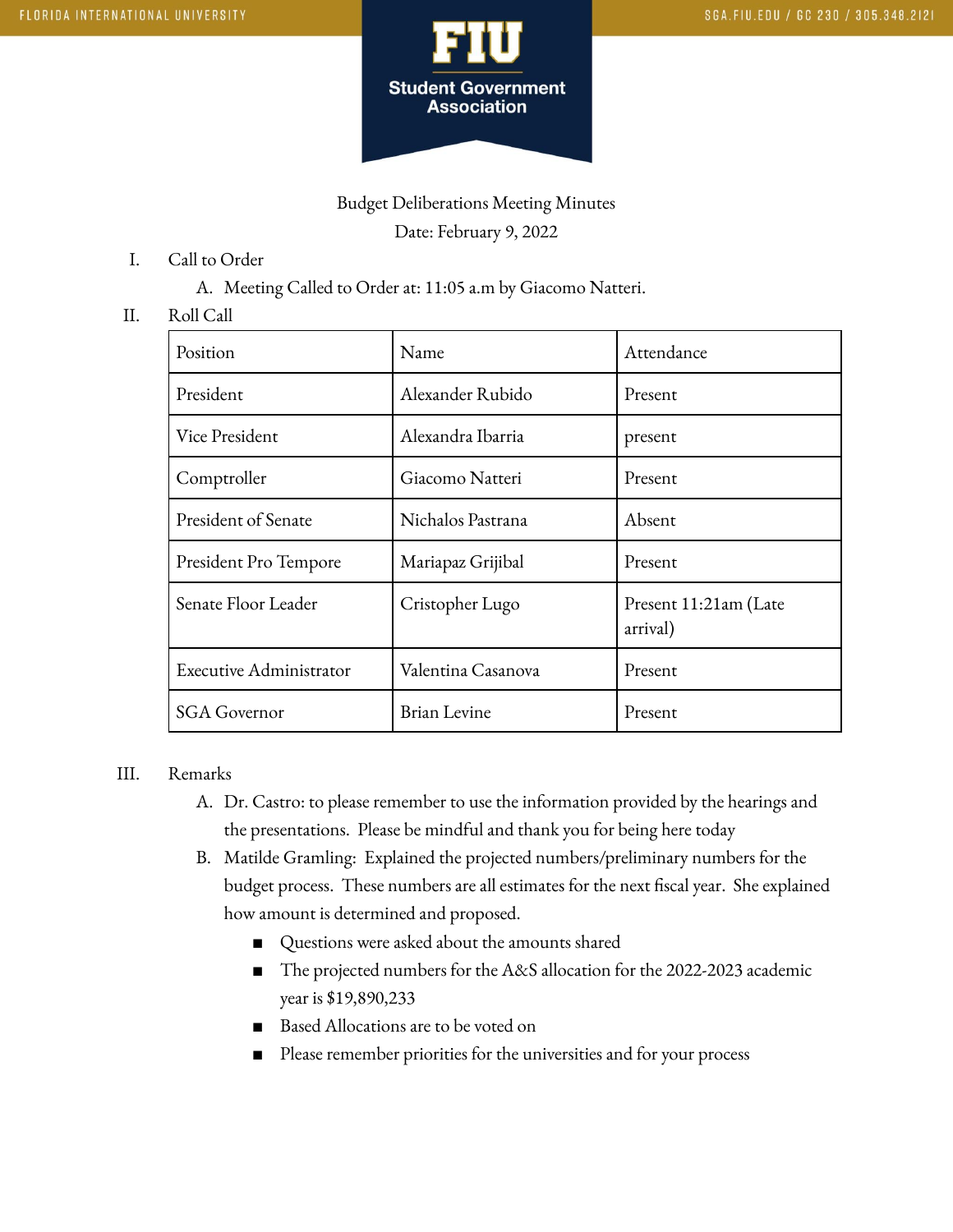

# Budget Deliberations Meeting Minutes Date: February 9, 2022

- I. Call to Order
	- A. Meeting Called to Order at: 11:05 a.m by Giacomo Natteri.

### II. Roll Call

| Position                | Name               | Attendance                        |
|-------------------------|--------------------|-----------------------------------|
| President               | Alexander Rubido   | Present                           |
| Vice President          | Alexandra Ibarria  | present                           |
| Comptroller             | Giacomo Natteri    | Present                           |
| President of Senate     | Nichalos Pastrana  | Absent                            |
| President Pro Tempore   | Mariapaz Grijibal  | Present                           |
| Senate Floor Leader     | Cristopher Lugo    | Present 11:21am (Late<br>arrival) |
| Executive Administrator | Valentina Casanova | Present                           |
| <b>SGA Governor</b>     | Brian Levine       | Present                           |

### III. Remarks

- A. Dr. Castro: to please remember to use the information provided by the hearings and the presentations. Please be mindful and thank you for being here today
- B. Matilde Gramling: Explained the projected numbers/preliminary numbers for the budget process. These numbers are all estimates for the next fiscal year. She explained how amount is determined and proposed.
	- Questions were asked about the amounts shared
	- The projected numbers for the A&S allocation for the 2022-2023 academic year is \$19,890,233
	- Based Allocations are to be voted on
	- Please remember priorities for the universities and for your process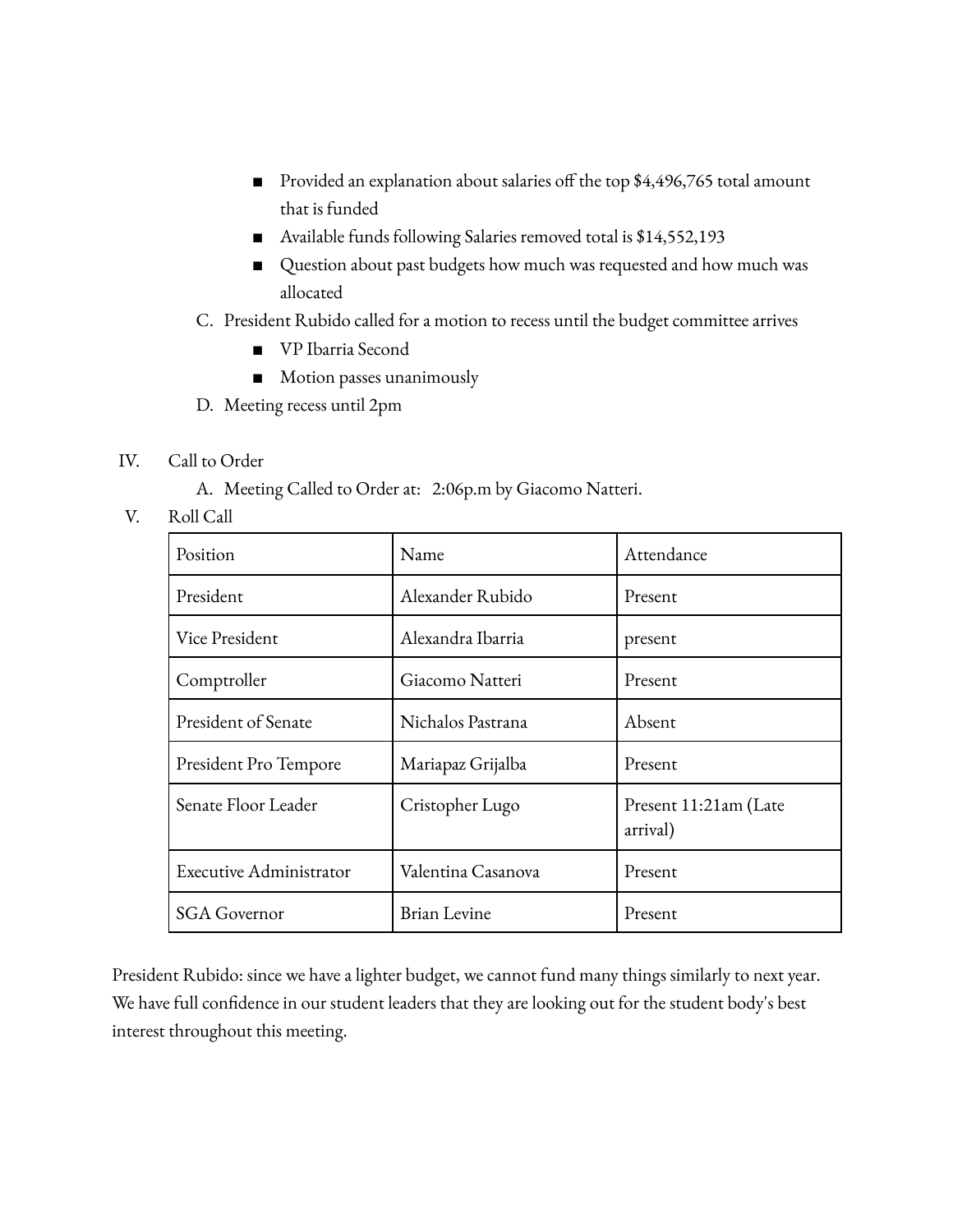- Provided an explanation about salaries off the top \$4,496,765 total amount that is funded
- Available funds following Salaries removed total is \$14,552,193
- Question about past budgets how much was requested and how much was allocated

# C. President Rubido called for a motion to recess until the budget committee arrives

- VP Ibarria Second
- Motion passes unanimously
- D. Meeting recess until 2pm
- IV. Call to Order
	- A. Meeting Called to Order at: 2:06p.m by Giacomo Natteri.
- V. Roll Call

| Position                       | Name               | Attendance                        |
|--------------------------------|--------------------|-----------------------------------|
| President                      | Alexander Rubido   | Present                           |
| Vice President                 | Alexandra Ibarria  | present                           |
| Comptroller                    | Giacomo Natteri    | Present                           |
| President of Senate            | Nichalos Pastrana  | Absent                            |
| President Pro Tempore          | Mariapaz Grijalba  | Present                           |
| Senate Floor Leader            | Cristopher Lugo    | Present 11:21am (Late<br>arrival) |
| <b>Executive Administrator</b> | Valentina Casanova | Present                           |
| <b>SGA Governor</b>            | Brian Levine       | Present                           |

President Rubido: since we have a lighter budget, we cannot fund many things similarly to next year. We have full confidence in our student leaders that they are looking out for the student body's best interest throughout this meeting.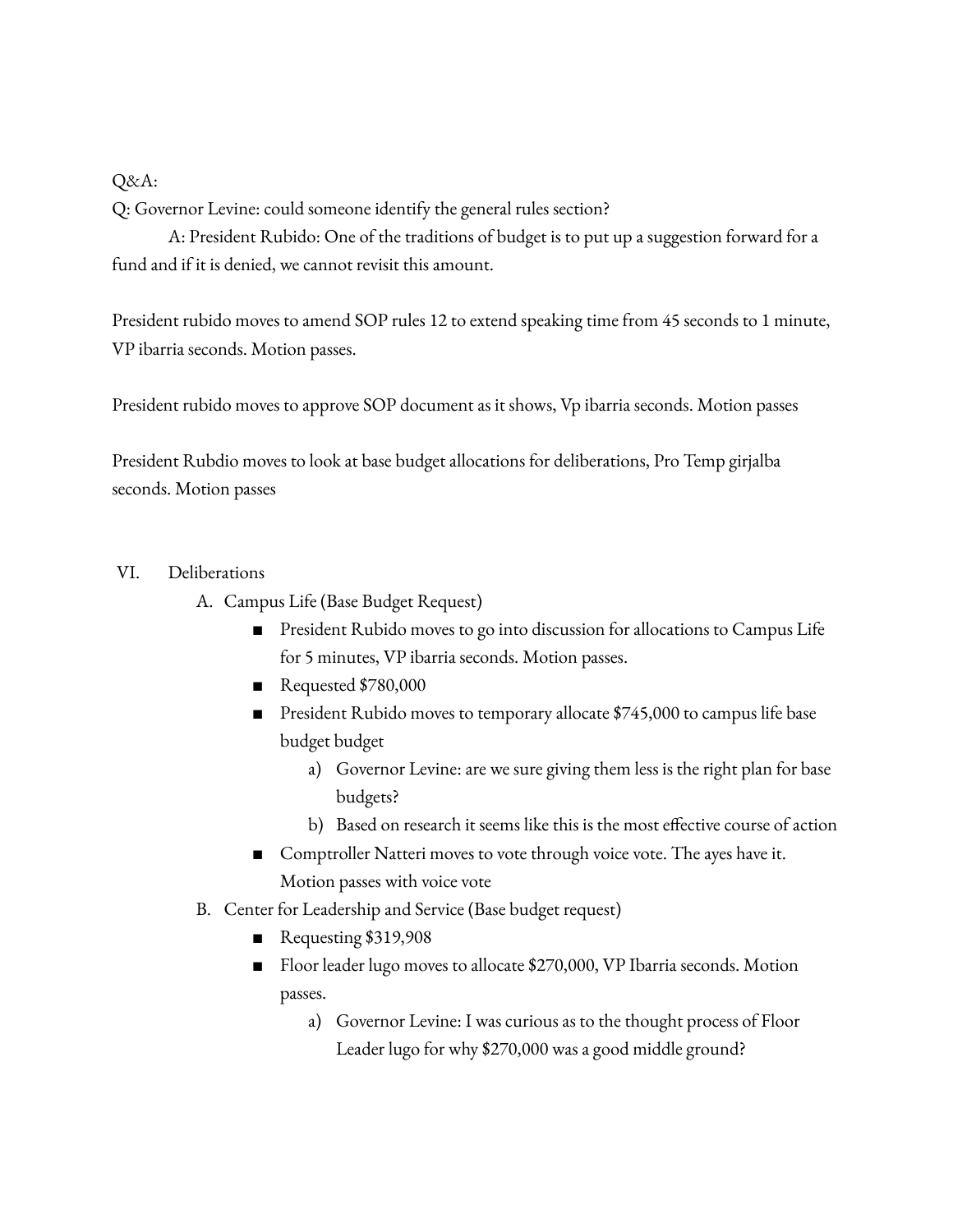## Q&A:

Q: Governor Levine: could someone identify the general rules section?

A: President Rubido: One of the traditions of budget is to put up a suggestion forward for a fund and if it is denied, we cannot revisit this amount.

President rubido moves to amend SOP rules 12 to extend speaking time from 45 seconds to 1 minute, VP ibarria seconds. Motion passes.

President rubido moves to approve SOP document as it shows, Vp ibarria seconds. Motion passes

President Rubdio moves to look at base budget allocations for deliberations, Pro Temp girjalba seconds. Motion passes

## VI. Deliberations

- A. Campus Life (Base Budget Request)
	- President Rubido moves to go into discussion for allocations to Campus Life for 5 minutes, VP ibarria seconds. Motion passes.
	- Requested \$780,000
	- President Rubido moves to temporary allocate \$745,000 to campus life base budget budget
		- a) Governor Levine: are we sure giving them less is the right plan for base budgets?
		- b) Based on research it seems like this is the most effective course of action
	- Comptroller Natteri moves to vote through voice vote. The ayes have it. Motion passes with voice vote
- B. Center for Leadership and Service (Base budget request)
	- Requesting \$319,908
	- Floor leader lugo moves to allocate \$270,000, VP Ibarria seconds. Motion passes.
		- a) Governor Levine: I was curious as to the thought process of Floor Leader lugo for why \$270,000 was a good middle ground?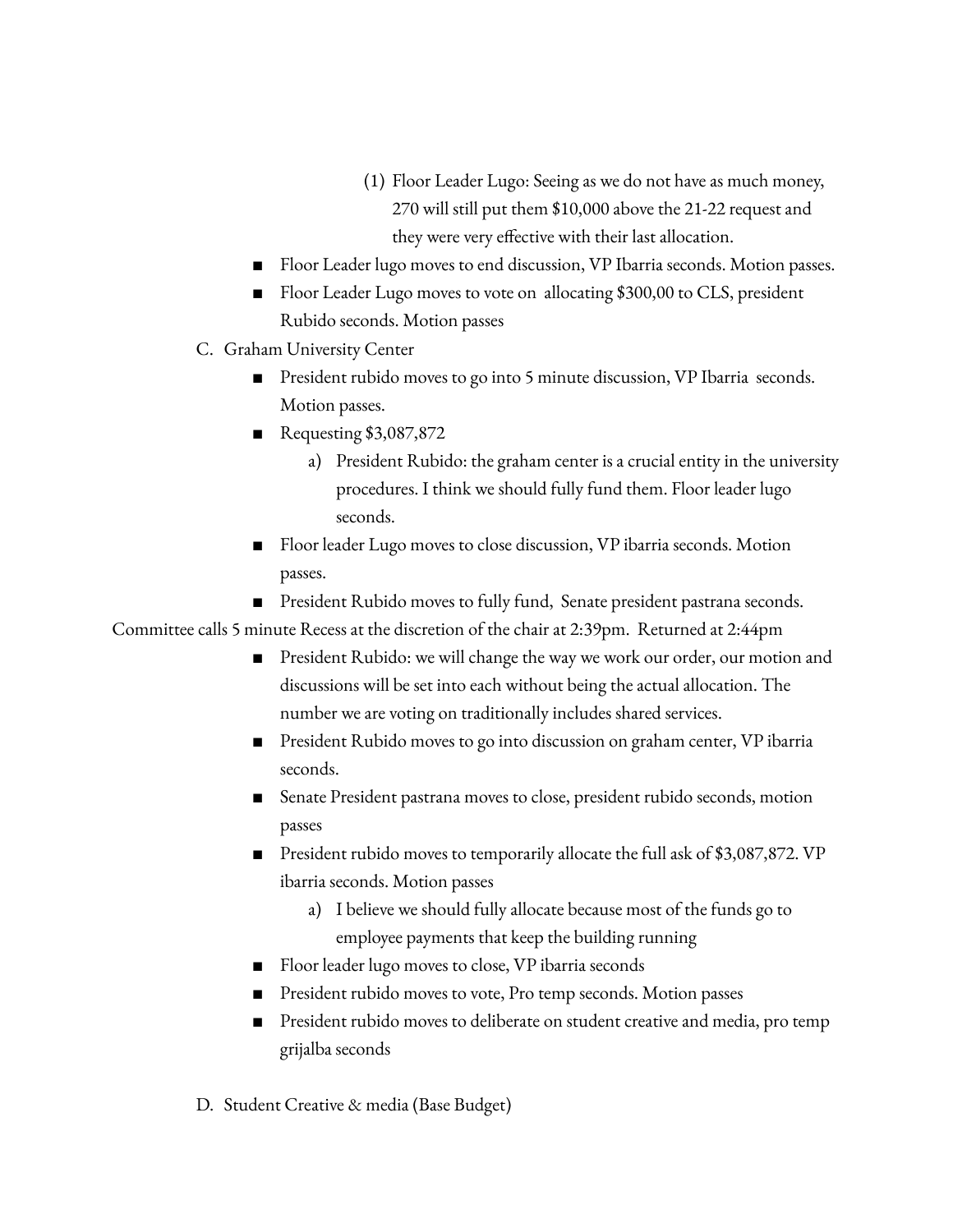- (1) Floor Leader Lugo: Seeing as we do not have as much money, 270 will still put them \$10,000 above the 21-22 request and they were very effective with their last allocation.
- Floor Leader lugo moves to end discussion, VP Ibarria seconds. Motion passes.
- Floor Leader Lugo moves to vote on allocating \$300,00 to CLS, president Rubido seconds. Motion passes
- C. Graham University Center
	- President rubido moves to go into 5 minute discussion, VP Ibarria seconds. Motion passes.
	- Requesting \$3,087,872
		- a) President Rubido: the graham center is a crucial entity in the university procedures. I think we should fully fund them. Floor leader lugo seconds.
	- Floor leader Lugo moves to close discussion, VP ibarria seconds. Motion passes.
	- President Rubido moves to fully fund, Senate president pastrana seconds.

Committee calls 5 minute Recess at the discretion of the chair at 2:39pm. Returned at 2:44pm

- President Rubido: we will change the way we work our order, our motion and discussions will be set into each without being the actual allocation. The number we are voting on traditionally includes shared services.
- President Rubido moves to go into discussion on graham center, VP ibarria seconds.
- Senate President pastrana moves to close, president rubido seconds, motion passes
- President rubido moves to temporarily allocate the full ask of \$3,087,872. VP ibarria seconds. Motion passes
	- a) I believe we should fully allocate because most of the funds go to employee payments that keep the building running
- Floor leader lugo moves to close, VP ibarria seconds
- President rubido moves to vote, Pro temp seconds. Motion passes
- President rubido moves to deliberate on student creative and media, pro temp grijalba seconds
- D. Student Creative & media (Base Budget)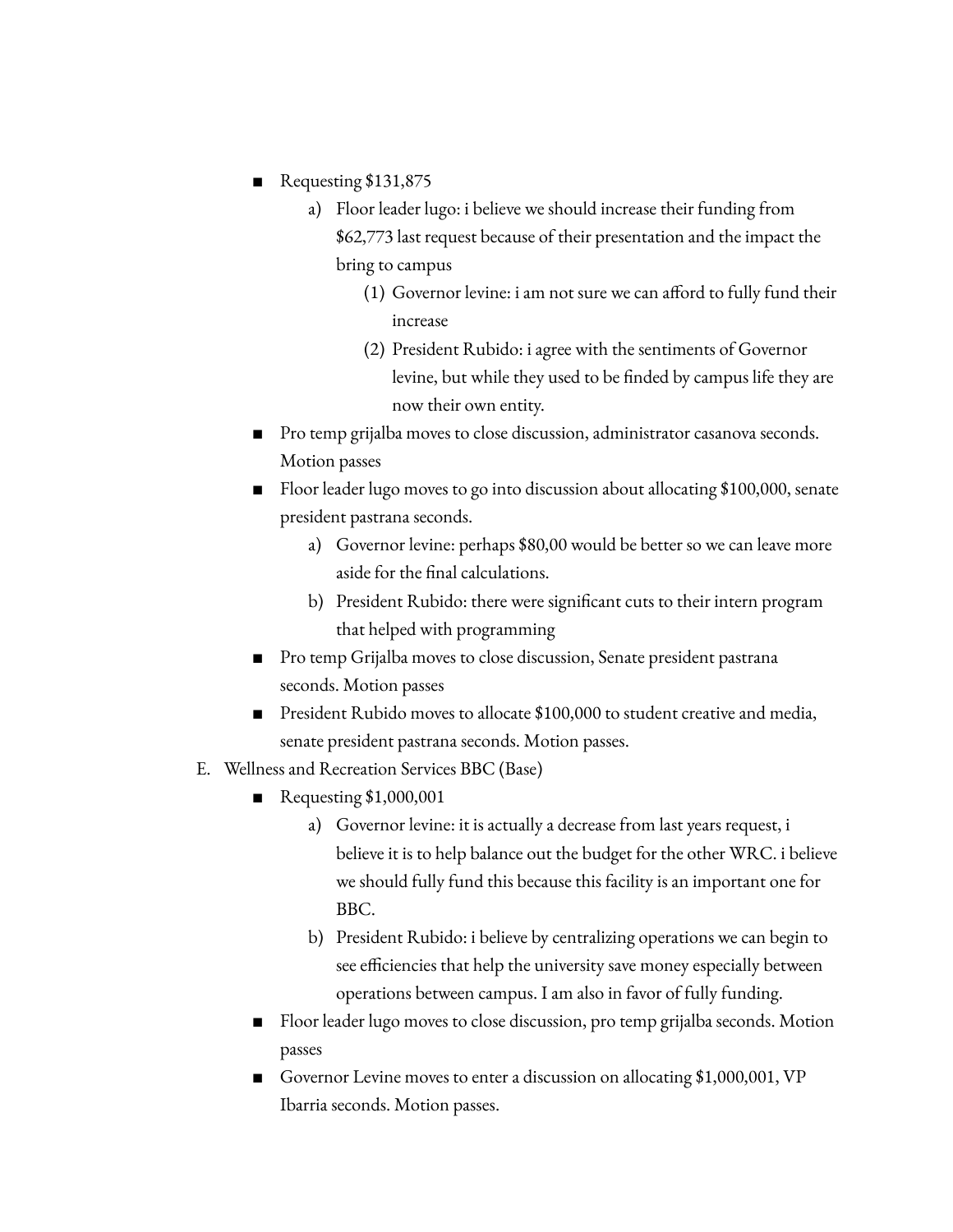- Requesting \$131,875
	- a) Floor leader lugo: i believe we should increase their funding from \$62,773 last request because of their presentation and the impact the bring to campus
		- (1) Governor levine: i am not sure we can afford to fully fund their increase
		- (2) President Rubido: i agree with the sentiments of Governor levine, but while they used to be finded by campus life they are now their own entity.
- Pro temp grijalba moves to close discussion, administrator casanova seconds. Motion passes
- Floor leader lugo moves to go into discussion about allocating \$100,000, senate president pastrana seconds.
	- a) Governor levine: perhaps \$80,00 would be better so we can leave more aside for the final calculations.
	- b) President Rubido: there were significant cuts to their intern program that helped with programming
- Pro temp Grijalba moves to close discussion, Senate president pastrana seconds. Motion passes
- President Rubido moves to allocate \$100,000 to student creative and media, senate president pastrana seconds. Motion passes.
- E. Wellness and Recreation Services BBC (Base)
	- Requesting \$1,000,001
		- a) Governor levine: it is actually a decrease from last years request, i believe it is to help balance out the budget for the other WRC. i believe we should fully fund this because this facility is an important one for BBC.
		- b) President Rubido: i believe by centralizing operations we can begin to see efficiencies that help the university save money especially between operations between campus. I am also in favor of fully funding.
	- Floor leader lugo moves to close discussion, pro temp grijalba seconds. Motion passes
	- Governor Levine moves to enter a discussion on allocating \$1,000,001, VP Ibarria seconds. Motion passes.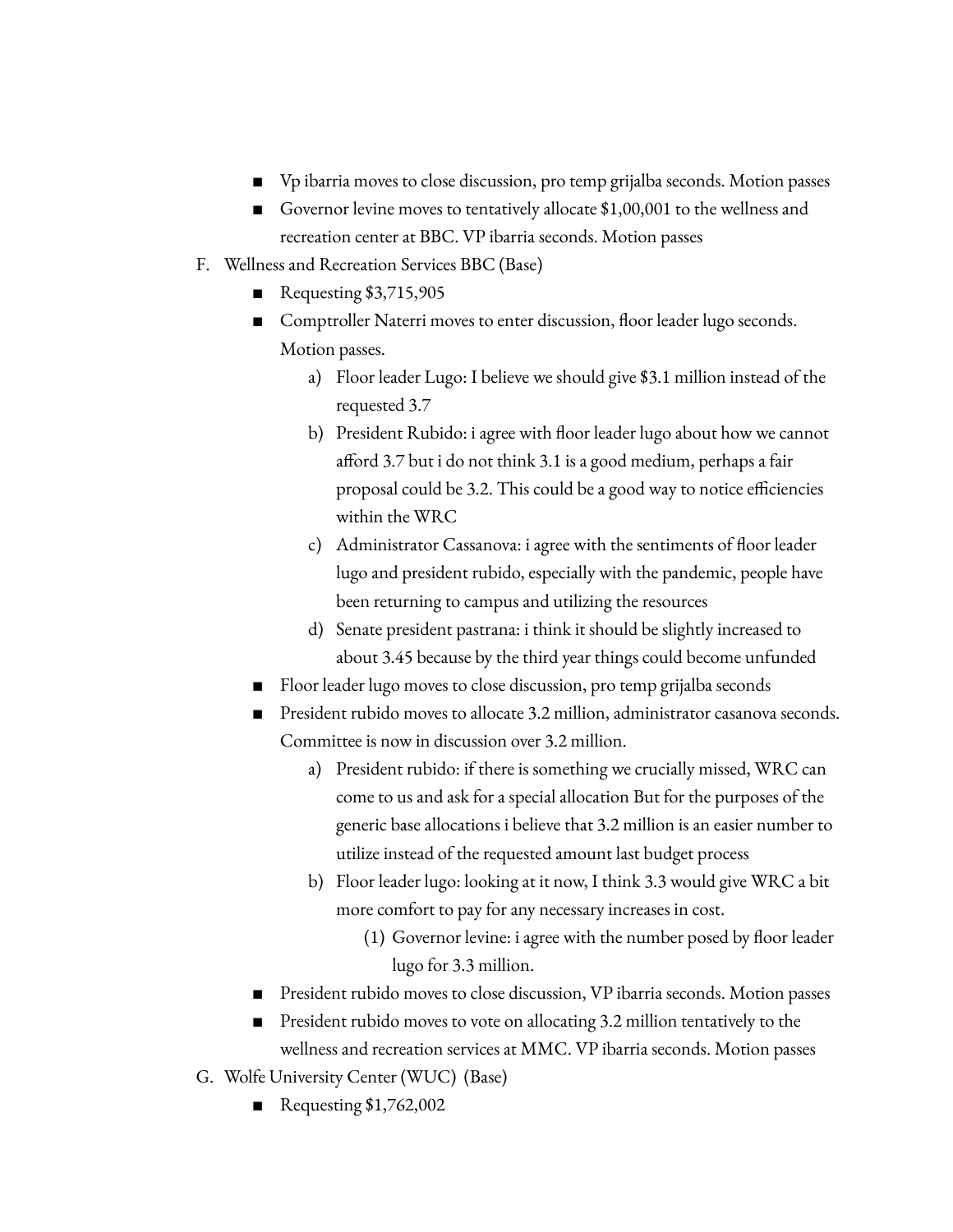- Vp ibarria moves to close discussion, pro temp grijalba seconds. Motion passes
- Governor levine moves to tentatively allocate \$1,00,001 to the wellness and recreation center at BBC. VP ibarria seconds. Motion passes
- F. Wellness and Recreation Services BBC (Base)
	- Requesting \$3,715,905
	- Comptroller Naterri moves to enter discussion, floor leader lugo seconds. Motion passes.
		- a) Floor leader Lugo: I believe we should give \$3.1 million instead of the requested 3.7
		- b) President Rubido: i agree with floor leader lugo about how we cannot afford 3.7 but i do not think 3.1 is a good medium, perhaps a fair proposal could be 3.2. This could be a good way to notice efficiencies within the WRC
		- c) Administrator Cassanova: i agree with the sentiments of floor leader lugo and president rubido, especially with the pandemic, people have been returning to campus and utilizing the resources
		- d) Senate president pastrana: i think it should be slightly increased to about 3.45 because by the third year things could become unfunded
	- Floor leader lugo moves to close discussion, pro temp grijalba seconds
	- President rubido moves to allocate 3.2 million, administrator casanova seconds. Committee is now in discussion over 3.2 million.
		- a) President rubido: if there is something we crucially missed, WRC can come to us and ask for a special allocation But for the purposes of the generic base allocations i believe that 3.2 million is an easier number to utilize instead of the requested amount last budget process
		- b) Floor leader lugo: looking at it now, I think 3.3 would give WRC a bit more comfort to pay for any necessary increases in cost.
			- (1) Governor levine: i agree with the number posed by floor leader lugo for 3.3 million.
	- President rubido moves to close discussion, VP ibarria seconds. Motion passes
	- President rubido moves to vote on allocating 3.2 million tentatively to the wellness and recreation services at MMC. VP ibarria seconds. Motion passes
- G. Wolfe University Center (WUC) (Base)
	- Requesting \$1,762,002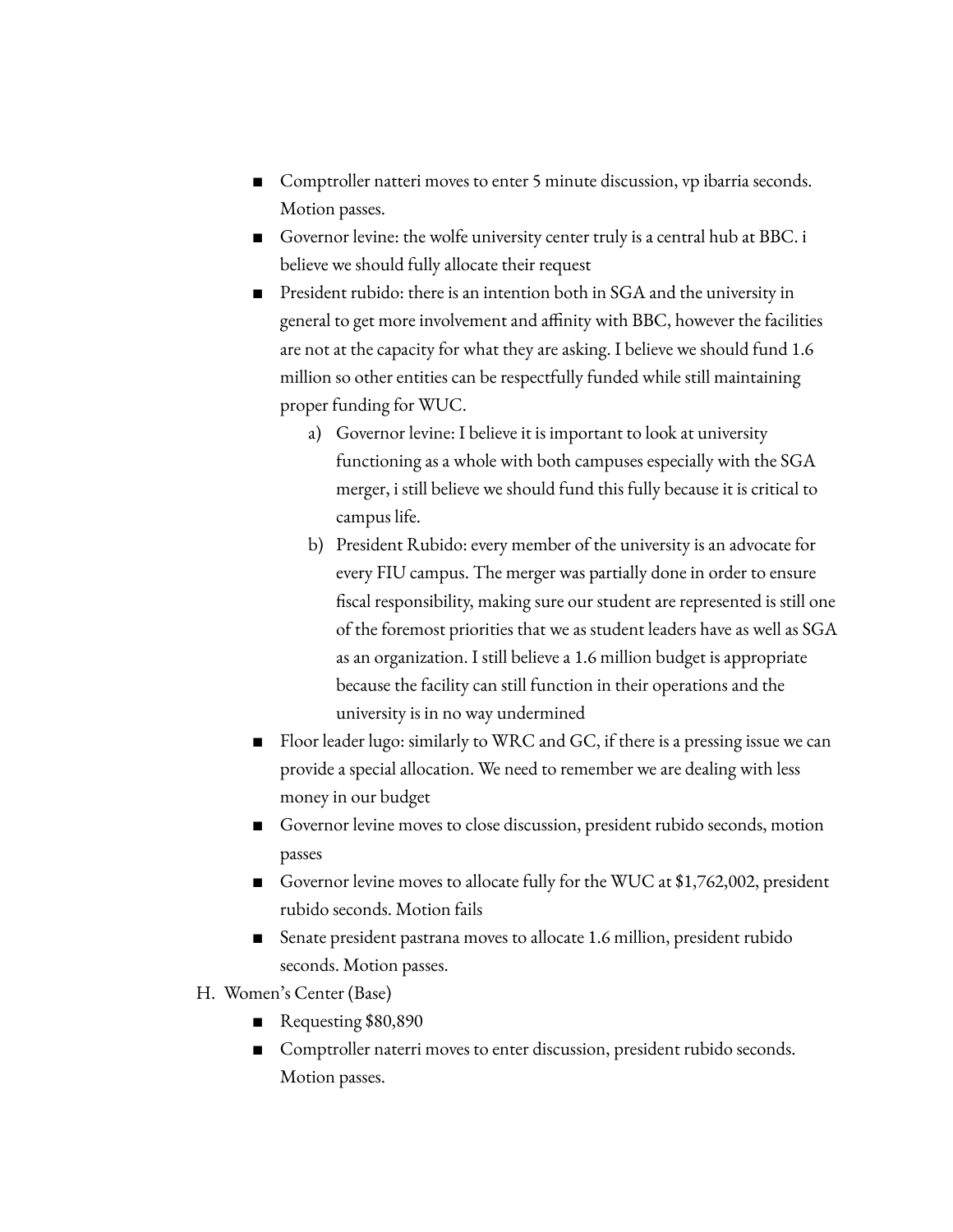- Comptroller natteri moves to enter 5 minute discussion, vp ibarria seconds. Motion passes.
- Governor levine: the wolfe university center truly is a central hub at BBC. i believe we should fully allocate their request
- President rubido: there is an intention both in SGA and the university in general to get more involvement and affinity with BBC, however the facilities are not at the capacity for what they are asking. I believe we should fund 1.6 million so other entities can be respectfully funded while still maintaining proper funding for WUC.
	- a) Governor levine: I believe it is important to look at university functioning as a whole with both campuses especially with the SGA merger, i still believe we should fund this fully because it is critical to campus life.
	- b) President Rubido: every member of the university is an advocate for every FIU campus. The merger was partially done in order to ensure fiscal responsibility, making sure our student are represented is still one of the foremost priorities that we as student leaders have as well as SGA as an organization. I still believe a 1.6 million budget is appropriate because the facility can still function in their operations and the university is in no way undermined
- Floor leader lugo: similarly to WRC and GC, if there is a pressing issue we can provide a special allocation. We need to remember we are dealing with less money in our budget
- Governor levine moves to close discussion, president rubido seconds, motion passes
- Governor levine moves to allocate fully for the WUC at \$1,762,002, president rubido seconds. Motion fails
- Senate president pastrana moves to allocate 1.6 million, president rubido seconds. Motion passes.
- H. Women's Center (Base)
	- Requesting \$80,890
	- Comptroller naterri moves to enter discussion, president rubido seconds. Motion passes.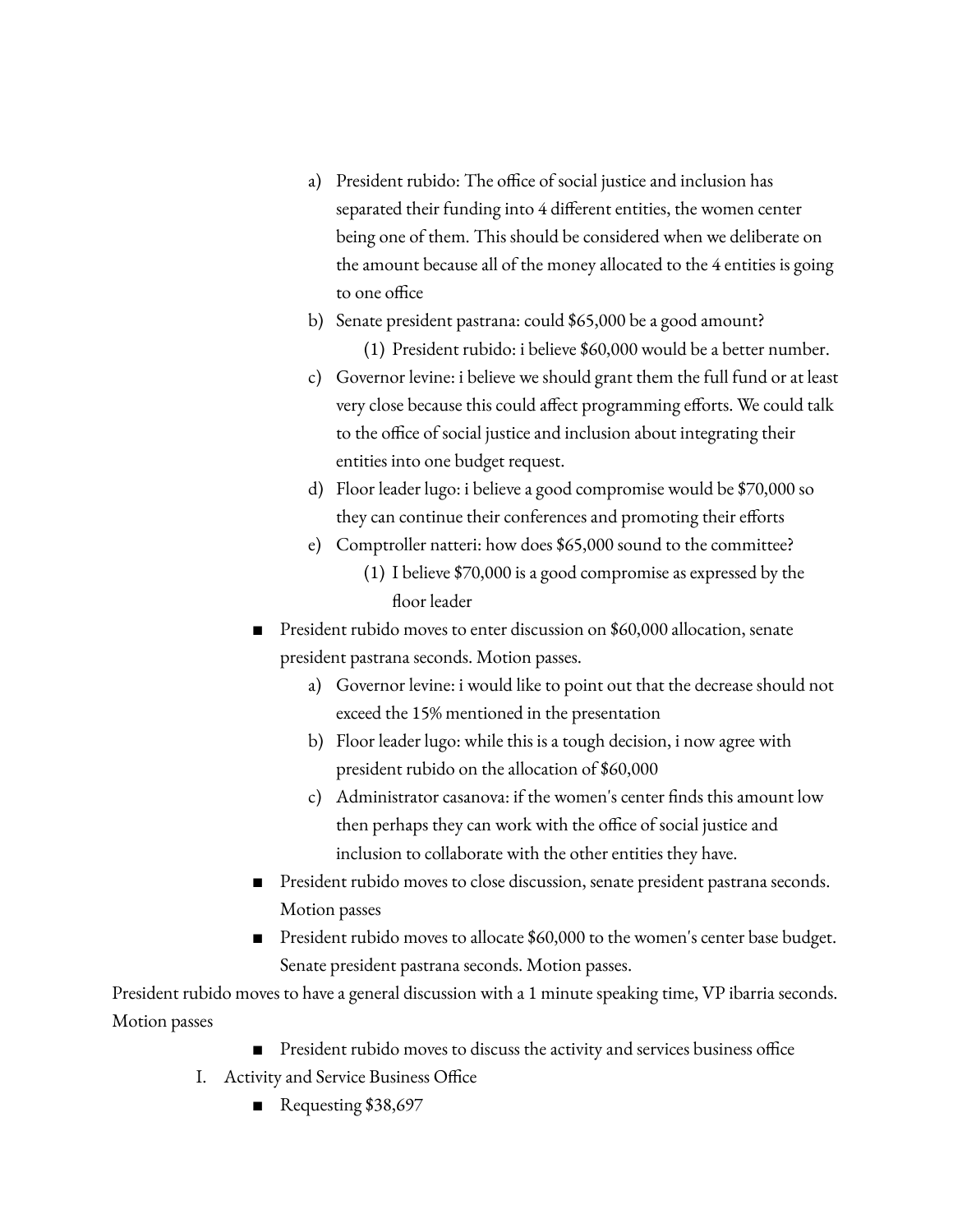- a) President rubido: The office of social justice and inclusion has separated their funding into 4 different entities, the women center being one of them. This should be considered when we deliberate on the amount because all of the money allocated to the 4 entities is going to one office
- b) Senate president pastrana: could \$65,000 be a good amount? (1) President rubido: i believe \$60,000 would be a better number.
- c) Governor levine: i believe we should grant them the full fund or at least very close because this could affect programming efforts. We could talk to the office of social justice and inclusion about integrating their entities into one budget request.
- d) Floor leader lugo: i believe a good compromise would be \$70,000 so they can continue their conferences and promoting their efforts
- e) Comptroller natteri: how does \$65,000 sound to the committee?
	- (1) I believe \$70,000 is a good compromise as expressed by the floor leader
- President rubido moves to enter discussion on \$60,000 allocation, senate president pastrana seconds. Motion passes.
	- a) Governor levine: i would like to point out that the decrease should not exceed the 15% mentioned in the presentation
	- b) Floor leader lugo: while this is a tough decision, i now agree with president rubido on the allocation of \$60,000
	- c) Administrator casanova: if the women's center finds this amount low then perhaps they can work with the office of social justice and inclusion to collaborate with the other entities they have.
- President rubido moves to close discussion, senate president pastrana seconds. Motion passes
- President rubido moves to allocate \$60,000 to the women's center base budget. Senate president pastrana seconds. Motion passes.

President rubido moves to have a general discussion with a 1 minute speaking time, VP ibarria seconds. Motion passes

- President rubido moves to discuss the activity and services business office
- I. Activity and Service Business Office
	- Requesting \$38,697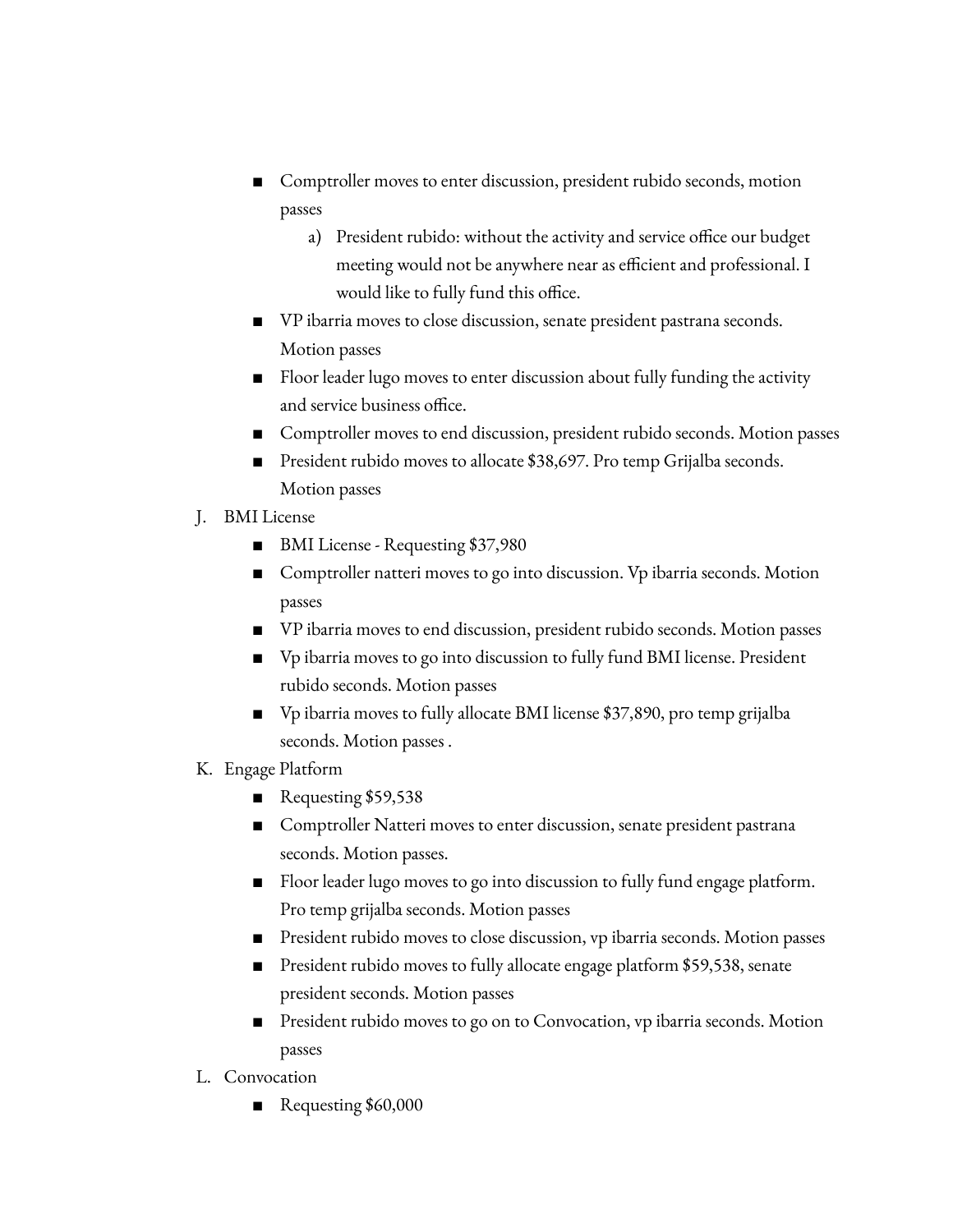- Comptroller moves to enter discussion, president rubido seconds, motion passes
	- a) President rubido: without the activity and service office our budget meeting would not be anywhere near as efficient and professional. I would like to fully fund this office.
- VP ibarria moves to close discussion, senate president pastrana seconds. Motion passes
- Floor leader lugo moves to enter discussion about fully funding the activity and service business office.
- Comptroller moves to end discussion, president rubido seconds. Motion passes
- President rubido moves to allocate \$38,697. Pro temp Grijalba seconds. Motion passes
- J. BMI License
	- BMI License Requesting \$37,980
	- Comptroller natteri moves to go into discussion. Vp ibarria seconds. Motion passes
	- VP ibarria moves to end discussion, president rubido seconds. Motion passes
	- Vp ibarria moves to go into discussion to fully fund BMI license. President rubido seconds. Motion passes
	- Vp ibarria moves to fully allocate BMI license \$37,890, pro temp grijalba seconds. Motion passes .
- K. Engage Platform
	- Requesting \$59,538
	- Comptroller Natteri moves to enter discussion, senate president pastrana seconds. Motion passes.
	- Floor leader lugo moves to go into discussion to fully fund engage platform. Pro temp grijalba seconds. Motion passes
	- President rubido moves to close discussion, vp ibarria seconds. Motion passes
	- President rubido moves to fully allocate engage platform \$59,538, senate president seconds. Motion passes
	- President rubido moves to go on to Convocation, vp ibarria seconds. Motion passes
- L. Convocation
	- Requesting \$60,000